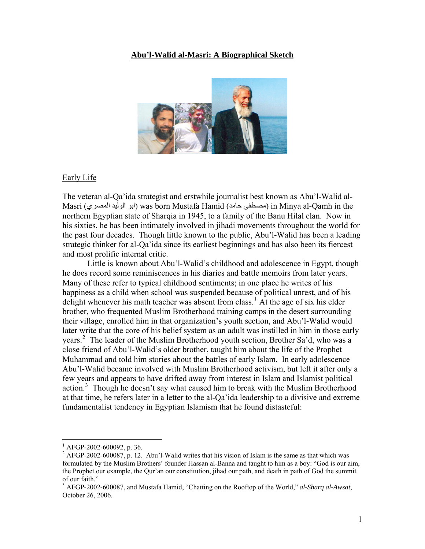## **Abu'l-Walid al-Masri: A Biographical Sketch**



#### Early Life

The veteran al-Qa'ida strategist and erstwhile journalist best known as Abu'l-Walid al-Masri (المصري الوليد ابو (was born Mustafa Hamid (حامد مصطفى (in Minya al-Qamh in the northern Egyptian state of Sharqia in 1945, to a family of the Banu Hilal clan. Now in his sixties, he has been intimately involved in jihadi movements throughout the world for the past four decades. Though little known to the public, Abu'l-Walid has been a leading strategic thinker for al-Qa'ida since its earliest beginnings and has also been its fiercest and most prolific internal critic.

 Little is known about Abu'l-Walid's childhood and adolescence in Egypt, though he does record some reminiscences in his diaries and battle memoirs from later years. Many of these refer to typical childhood sentiments; in one place he writes of his happiness as a child when school was suspended because of political unrest, and of his delight whenever his math teacher was absent from class.<sup>[1](#page-0-0)</sup> At the age of six his elder brother, who frequented Muslim Brotherhood training camps in the desert surrounding their village, enrolled him in that organization's youth section, and Abu'l-Walid would later write that the core of his belief system as an adult was instilled in him in those early years.<sup>[2](#page-0-1)</sup> The leader of the Muslim Brotherhood youth section, Brother Sa'd, who was a close friend of Abu'l-Walid's older brother, taught him about the life of the Prophet Muhammad and told him stories about the battles of early Islam. In early adolescence Abu'l-Walid became involved with Muslim Brotherhood activism, but left it after only a few years and appears to have drifted away from interest in Islam and Islamist political action.<sup>[3](#page-0-2)</sup> Though he doesn't say what caused him to break with the Muslim Brotherhood at that time, he refers later in a letter to the al-Qa'ida leadership to a divisive and extreme fundamentalist tendency in Egyptian Islamism that he found distasteful:

<span id="page-0-0"></span> $^{1}$  AFGP-2002-600092, p. 36.

<span id="page-0-1"></span> $2$  AFGP-2002-600087, p. 12. Abu'l-Walid writes that his vision of Islam is the same as that which was formulated by the Muslim Brothers' founder Hassan al-Banna and taught to him as a boy: "God is our aim, the Prophet our example, the Qur'an our constitution, jihad our path, and death in path of God the summit of our faith."

<span id="page-0-2"></span><sup>3</sup> AFGP-2002-600087, and Mustafa Hamid, "Chatting on the Rooftop of the World," *al-Sharq al-Awsat*, October 26, 2006.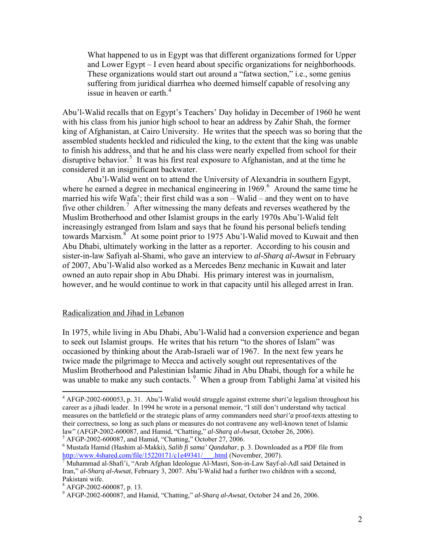What happened to us in Egypt was that different organizations formed for Upper and Lower Egypt – I even heard about specific organizations for neighborhoods. These organizations would start out around a "fatwa section," i.e., some genius suffering from juridical diarrhea who deemed himself capable of resolving any issue in heaven or earth. $4$ 

Abu'l-Walid recalls that on Egypt's Teachers' Day holiday in December of 1960 he went with his class from his junior high school to hear an address by Zahir Shah, the former king of Afghanistan, at Cairo University. He writes that the speech was so boring that the assembled students heckled and ridiculed the king, to the extent that the king was unable to finish his address, and that he and his class were nearly expelled from school for their disruptive behavior.<sup>[5](#page-1-1)</sup> It was his first real exposure to Afghanistan, and at the time he considered it an insignificant backwater.

 Abu'l-Walid went on to attend the University of Alexandria in southern Egypt, where he earned a degree in mechanical engineering in  $1969$  $1969$  $1969$ <sup>6</sup>. Around the same time he married his wife Wafa'; their first child was a son – Walid – and they went on to have five other children.<sup>[7](#page-1-3)</sup> After witnessing the many defeats and reverses weathered by the Muslim Brotherhood and other Islamist groups in the early 1970s Abu'l-Walid felt increasingly estranged from Islam and says that he found his personal beliefs tending towards Marxism.<sup>[8](#page-1-4)</sup> At some point prior to 1975 Abu'l-Walid moved to Kuwait and then Abu Dhabi, ultimately working in the latter as a reporter. According to his cousin and sister-in-law Safiyah al-Shami, who gave an interview to *al-Sharq al-Awsat* in February of 2007, Abu'l-Walid also worked as a Mercedes Benz mechanic in Kuwait and later owned an auto repair shop in Abu Dhabi. His primary interest was in journalism, however, and he would continue to work in that capacity until his alleged arrest in Iran.

## Radicalization and Jihad in Lebanon

In 1975, while living in Abu Dhabi, Abu'l-Walid had a conversion experience and began to seek out Islamist groups. He writes that his return "to the shores of Islam" was occasioned by thinking about the Arab-Israeli war of 1967. In the next few years he twice made the pilgrimage to Mecca and actively sought out representatives of the Muslim Brotherhood and Palestinian Islamic Jihad in Abu Dhabi, though for a while he was unable to make any such contacts. <sup>[9](#page-1-5)</sup> When a group from Tablighi Jama'at visited his

<span id="page-1-1"></span> $\frac{1}{5}$  AFGP-2002-600087, and Hamid, "Chatting," October 27, 2006.

<span id="page-1-0"></span><sup>4</sup> AFGP-2002-600053, p. 31. Abu'l-Walid would struggle against extreme *shari'a* legalism throughout his career as a jihadi leader. In 1994 he wrote in a personal memoir, "I still don't understand why tactical measures on the battlefield or the strategic plans of army commanders need *shari'a* proof-texts attesting to their correctness, so long as such plans or measures do not contravene any well-known tenet of Islamic law" (AFGP-2002-600087, and Hamid, "Chatting," *al-Sharq al-Awsat*, October 26, 2006). 5

<span id="page-1-2"></span><sup>6</sup> Mustafa Hamid (Hashim al-Makki), *Salib fi sama' Qandahar*, p. 3. Downloaded as a PDF file from http://www.4shared.com/file/152201[7](http://www.4shared.com/file/15220171/c1e49341/___.html)1/c1e49341/\_\_\_\_.html (November, 2007).<br><sup>7</sup> Muhammad al-Shafi'i, "Arab Afghan Ideologue Al-Masri, Son-in-Law Sayf-al-Adl said Detained in

<span id="page-1-3"></span>Iran," *al-Sharq al-Awsat*, February 3, 2007. Abu'l-Walid had a further two children with a second, Pakistani wife.

<span id="page-1-5"></span><span id="page-1-4"></span><sup>8</sup> AFGP-2002-600087, p. 13.

<sup>9</sup> AFGP-2002-600087, and Hamid, "Chatting," *al-Sharq al-Awsat*, October 24 and 26, 2006.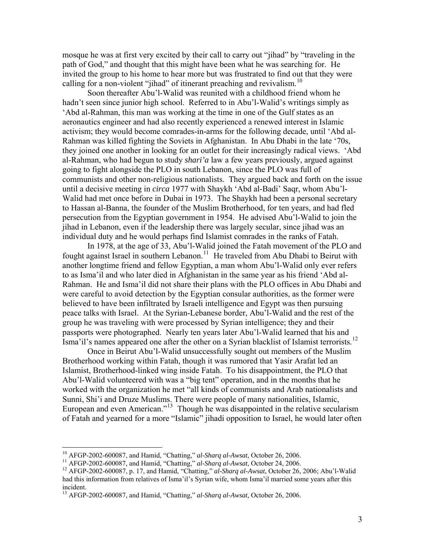mosque he was at first very excited by their call to carry out "jihad" by "traveling in the path of God," and thought that this might have been what he was searching for. He invited the group to his home to hear more but was frustrated to find out that they were calling for a non-violent "jihad" of itinerant preaching and revivalism.<sup>[10](#page-2-0)</sup>

 Soon thereafter Abu'l-Walid was reunited with a childhood friend whom he hadn't seen since junior high school. Referred to in Abu'l-Walid's writings simply as 'Abd al-Rahman, this man was working at the time in one of the Gulf states as an aeronautics engineer and had also recently experienced a renewed interest in Islamic activism; they would become comrades-in-arms for the following decade, until 'Abd al-Rahman was killed fighting the Soviets in Afghanistan. In Abu Dhabi in the late '70s, they joined one another in looking for an outlet for their increasingly radical views. 'Abd al-Rahman, who had begun to study *shari'a* law a few years previously, argued against going to fight alongside the PLO in south Lebanon, since the PLO was full of communists and other non-religious nationalists. They argued back and forth on the issue until a decisive meeting in *circa* 1977 with Shaykh 'Abd al-Badi' Saqr, whom Abu'l-Walid had met once before in Dubai in 1973. The Shaykh had been a personal secretary to Hassan al-Banna, the founder of the Muslim Brotherhood, for ten years, and had fled persecution from the Egyptian government in 1954. He advised Abu'l-Walid to join the jihad in Lebanon, even if the leadership there was largely secular, since jihad was an individual duty and he would perhaps find Islamist comrades in the ranks of Fatah.

In 1978, at the age of 33, Abu'l-Walid joined the Fatah movement of the PLO and fought against Israel in southern Lebanon.<sup>[11](#page-2-1)</sup> He traveled from Abu Dhabi to Beirut with another longtime friend and fellow Egyptian, a man whom Abu'l-Walid only ever refers to as Isma'il and who later died in Afghanistan in the same year as his friend 'Abd al-Rahman. He and Isma'il did not share their plans with the PLO offices in Abu Dhabi and were careful to avoid detection by the Egyptian consular authorities, as the former were believed to have been infiltrated by Israeli intelligence and Egypt was then pursuing peace talks with Israel. At the Syrian-Lebanese border, Abu'l-Walid and the rest of the group he was traveling with were processed by Syrian intelligence; they and their passports were photographed. Nearly ten years later Abu'l-Walid learned that his and Isma'il's names appeared one after the other on a Syrian blacklist of Islamist terrorists.[12](#page-2-2)

Once in Beirut Abu'l-Walid unsuccessfully sought out members of the Muslim Brotherhood working within Fatah, though it was rumored that Yasir Arafat led an Islamist, Brotherhood-linked wing inside Fatah. To his disappointment, the PLO that Abu'l-Walid volunteered with was a "big tent" operation, and in the months that he worked with the organization he met "all kinds of communists and Arab nationalists and Sunni, Shi'i and Druze Muslims. There were people of many nationalities, Islamic, European and even American."[13](#page-2-3) Though he was disappointed in the relative secularism of Fatah and yearned for a more "Islamic" jihadi opposition to Israel, he would later often

<sup>&</sup>lt;sup>10</sup> AFGP-2002-600087, and Hamid, "Chatting," al-Sharq al-Awsat, October 26, 2006.

<span id="page-2-2"></span>

<span id="page-2-1"></span><span id="page-2-0"></span><sup>&</sup>lt;sup>11</sup> AFGP-2002-600087, and Hamid, "Chatting," al-Sharq al-Awsat, October 24, 2006.<br><sup>12</sup> AFGP-2002-600087, p. 17, and Hamid, "Chatting," al-Sharq al-Awsat, October 26, 2006; Abu'l-Walid had this information from relatives of Isma'il's Syrian wife, whom Isma'il married some years after this incident.

<span id="page-2-3"></span><sup>13</sup> AFGP-2002-600087, and Hamid, "Chatting," *al-Sharq al-Awsat*, October 26, 2006.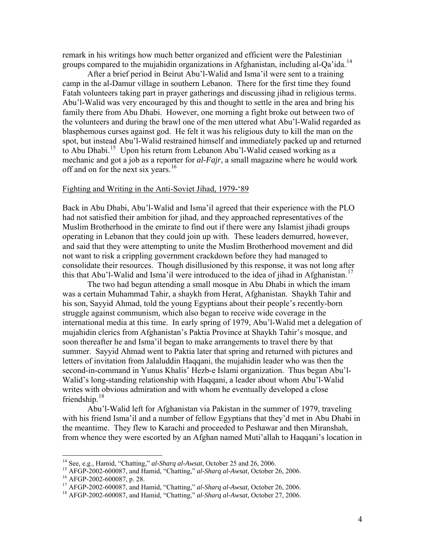remark in his writings how much better organized and efficient were the Palestinian groups compared to the mujahidin organizations in Afghanistan, including al-Qa'ida.<sup>[14](#page-3-0)</sup>

After a brief period in Beirut Abu'l-Walid and Isma'il were sent to a training camp in the al-Damur village in southern Lebanon. There for the first time they found Fatah volunteers taking part in prayer gatherings and discussing jihad in religious terms. Abu'l-Walid was very encouraged by this and thought to settle in the area and bring his family there from Abu Dhabi. However, one morning a fight broke out between two of the volunteers and during the brawl one of the men uttered what Abu'l-Walid regarded as blasphemous curses against god. He felt it was his religious duty to kill the man on the spot, but instead Abu'l-Walid restrained himself and immediately packed up and returned to Abu Dhabi.<sup>[15](#page-3-1)</sup> Upon his return from Lebanon Abu'l-Walid ceased working as a mechanic and got a job as a reporter for *al-Fajr*, a small magazine where he would work off and on for the next six years.<sup>[16](#page-3-2)</sup>

# Fighting and Writing in the Anti-Soviet Jihad, 1979-'89

Back in Abu Dhabi, Abu'l-Walid and Isma'il agreed that their experience with the PLO had not satisfied their ambition for jihad, and they approached representatives of the Muslim Brotherhood in the emirate to find out if there were any Islamist jihadi groups operating in Lebanon that they could join up with. These leaders demurred, however, and said that they were attempting to unite the Muslim Brotherhood movement and did not want to risk a crippling government crackdown before they had managed to consolidate their resources. Though disillusioned by this response, it was not long after this that Abu'l-Walid and Isma'il were introduced to the idea of jihad in Afghanistan.<sup>[17](#page-3-3)</sup>

 The two had begun attending a small mosque in Abu Dhabi in which the imam was a certain Muhammad Tahir, a shaykh from Herat, Afghanistan. Shaykh Tahir and his son, Sayyid Ahmad, told the young Egyptians about their people's recently-born struggle against communism, which also began to receive wide coverage in the international media at this time. In early spring of 1979, Abu'l-Walid met a delegation of mujahidin clerics from Afghanistan's Paktia Province at Shaykh Tahir's mosque, and soon thereafter he and Isma'il began to make arrangements to travel there by that summer. Sayyid Ahmad went to Paktia later that spring and returned with pictures and letters of invitation from Jalaluddin Haqqani, the mujahidin leader who was then the second-in-command in Yunus Khalis' Hezb-e Islami organization. Thus began Abu'l-Walid's long-standing relationship with Haqqani, a leader about whom Abu'l-Walid writes with obvious admiration and with whom he eventually developed a close friendship. $18$ 

 Abu'l-Walid left for Afghanistan via Pakistan in the summer of 1979, traveling with his friend Isma'il and a number of fellow Egyptians that they'd met in Abu Dhabi in the meantime. They flew to Karachi and proceeded to Peshawar and then Miranshah, from whence they were escorted by an Afghan named Muti'allah to Haqqani's location in

<span id="page-3-0"></span><sup>&</sup>lt;sup>14</sup> See, e.g., Hamid, "Chatting," al-Sharq al-Awsat, October 25 and 26, 2006.

<span id="page-3-2"></span><span id="page-3-1"></span><sup>15</sup> AFGP-2002-600087, and Hamid, "Chatting," *al-Sharq al-Awsat*, October 26, 2006.<br><sup>16</sup> AFGP-2002-600087, p. 28.<br><sup>17</sup> AFGP-2002-600087, and Hamid, "Chatting," *al-Sharq al-Awsat*, October 26, 2006.

<span id="page-3-4"></span><span id="page-3-3"></span><sup>&</sup>lt;sup>18</sup> AFGP-2002-600087, and Hamid, "Chatting," *al-Sharq al-Awsat*, October 27, 2006.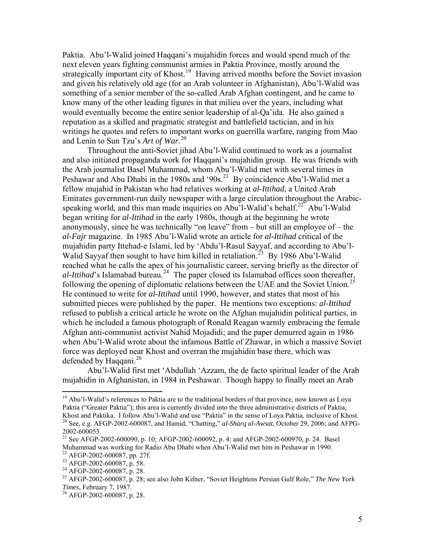Paktia. Abu'l-Walid joined Haqqani's mujahidin forces and would spend much of the next eleven years fighting communist armies in Paktia Province, mostly around the strategically important city of Khost.<sup>[19](#page-4-0)</sup> Having arrived months before the Soviet invasion and given his relatively old age (for an Arab volunteer in Afghanistan), Abu'l-Walid was something of a senior member of the so-called Arab Afghan contingent, and he came to know many of the other leading figures in that milieu over the years, including what would eventually become the entire senior leadership of al-Qa'ida. He also gained a reputation as a skilled and pragmatic strategist and battlefield tactician, and in his writings he quotes and refers to important works on guerrilla warfare, ranging from Mao and Lenin to Sun Tzu's *Art of War*. [20](#page-4-1)

 Throughout the anti-Soviet jihad Abu'l-Walid continued to work as a journalist and also initiated propaganda work for Haqqani's mujahidin group. He was friends with the Arab journalist Basel Muhammad, whom Abu'l-Walid met with several times in Peshawar and Abu Dhabi in the 1980s and '90s.<sup>[21](#page-4-2)</sup> By coincidence Abu'l-Walid met a fellow mujahid in Pakistan who had relatives working at *al-Ittihad*, a United Arab Emirates government-run daily newspaper with a large circulation throughout the Arabic-speaking world, and this man made inquiries on Abu'l-Walid's behalf.<sup>[22](#page-4-3)</sup> Abu'l-Walid began writing for *al-Ittihad* in the early 1980s, though at the beginning he wrote anonymously, since he was technically "on leave" from – but still an employee of – the *al-Fajr* magazine. In 1985 Abu'l-Walid wrote an article for *al-Ittihad* critical of the mujahidin party Ittehad-e Islami, led by 'Abdu'l-Rasul Sayyaf, and according to Abu'l-Walid Sayyaf then sought to have him killed in retaliation.<sup>[23](#page-4-4)</sup> By 1986 Abu'l-Walid reached what he calls the apex of his journalistic career, serving briefly as the director of *al-Ittihad*'s Islamabad bureau.<sup>[24](#page-4-5)</sup> The paper closed its Islamabad offices soon thereafter, following the opening of diplomatic relations between the UAE and the Soviet Union.<sup>[25](#page-4-6)</sup> He continued to write for *al-Ittihad* until 1990, however, and states that most of his submitted pieces were published by the paper. He mentions two exceptions: *al-Ittihad* refused to publish a critical article he wrote on the Afghan mujahidin political parties, in which he included a famous photograph of Ronald Reagan warmly embracing the female Afghan anti-communist activist Nahid Mojadidi; and the paper demurred again in 1986 when Abu'l-Walid wrote about the infamous Battle of Zhawar, in which a massive Soviet force was deployed near Khost and overran the mujahidin base there, which was defended by Haqqani. $^{26}$  $^{26}$  $^{26}$ 

Abu'l-Walid first met 'Abdullah 'Azzam, the de facto spiritual leader of the Arab mujahidin in Afghanistan, in 1984 in Peshawar. Though happy to finally meet an Arab

<span id="page-4-0"></span><sup>&</sup>lt;sup>19</sup> Abu'l-Walid's references to Paktia are to the traditional borders of that province, now known as Loya Paktia ("Greater Paktia"); this area is currently divided into the three administrative districts of Paktia, Khost and Paktika. I follow Abu'l-Walid and use "Paktia" in the sense of Loya Paktia, inclusive of Khost. 20 See, e.g. AFGP-2002-600087, and Hamid, "Chatting," *al-Sharq al-Awsat*, October 29, 2006; and AFPG-2002-600053.

<span id="page-4-2"></span><span id="page-4-1"></span><sup>21</sup> See AFGP-2002-600090, p. 10; AFGP-2002-600092, p. 4; and AFGP-2002-600970, p. 24. Basel Muhammad was working for Radio Abu Dhabi when Abu'l-Walid met him in Peshawar in 1990.<br><sup>22</sup> AFGP-2002-600087, pp. 27f.

<span id="page-4-4"></span><span id="page-4-3"></span><sup>23</sup> AFGP-2002-600087, p. 58.

<span id="page-4-5"></span> $^{24}$  AFGP-2002-600087, p. 28.

<span id="page-4-6"></span><sup>25</sup> AFGP-2002-600087, p. 28; see also John Kifner, "Soviet Heightens Persian Gulf Role," *The New York Times*, February 7, 1987.<br><sup>26</sup> AFGP-2002-600087, p. 28.

<span id="page-4-7"></span>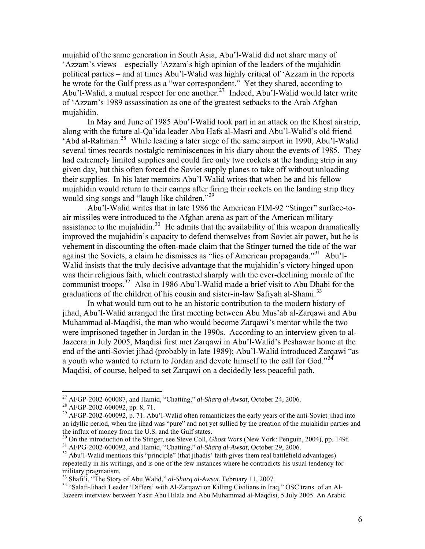mujahid of the same generation in South Asia, Abu'l-Walid did not share many of 'Azzam's views – especially 'Azzam's high opinion of the leaders of the mujahidin political parties – and at times Abu'l-Walid was highly critical of 'Azzam in the reports he wrote for the Gulf press as a "war correspondent." Yet they shared, according to Abu'l-Walid, a mutual respect for one another.<sup>[27](#page-5-0)</sup> Indeed, Abu'l-Walid would later write of 'Azzam's 1989 assassination as one of the greatest setbacks to the Arab Afghan mujahidin.

In May and June of 1985 Abu'l-Walid took part in an attack on the Khost airstrip, along with the future al-Qa'ida leader Abu Hafs al-Masri and Abu'l-Walid's old friend 'Abd al-Rahman.[28](#page-5-1) While leading a later siege of the same airport in 1990, Abu'l-Walid several times records nostalgic reminiscences in his diary about the events of 1985. They had extremely limited supplies and could fire only two rockets at the landing strip in any given day, but this often forced the Soviet supply planes to take off without unloading their supplies. In his later memoirs Abu'l-Walid writes that when he and his fellow mujahidin would return to their camps after firing their rockets on the landing strip they would sing songs and "laugh like children."<sup>[29](#page-5-2)</sup>

Abu'l-Walid writes that in late 1986 the American FIM-92 "Stinger" surface-toair missiles were introduced to the Afghan arena as part of the American military assistance to the mujahidin.<sup>[30](#page-5-3)</sup> He admits that the availability of this weapon dramatically improved the mujahidin's capacity to defend themselves from Soviet air power, but he is vehement in discounting the often-made claim that the Stinger turned the tide of the war against the Soviets, a claim he dismisses as "lies of American propaganda."<sup>[31](#page-5-4)</sup> Abu'l-Walid insists that the truly decisive advantage that the mujahidin's victory hinged upon was their religious faith, which contrasted sharply with the ever-declining morale of the communist troops.[32](#page-5-5) Also in 1986 Abu'l-Walid made a brief visit to Abu Dhabi for the graduations of the children of his cousin and sister-in-law Safiyah al-Shami.<sup>[33](#page-5-6)</sup>

In what would turn out to be an historic contribution to the modern history of jihad, Abu'l-Walid arranged the first meeting between Abu Mus'ab al-Zarqawi and Abu Muhammad al-Maqdisi, the man who would become Zarqawi's mentor while the two were imprisoned together in Jordan in the 1990s. According to an interview given to al-Jazeera in July 2005, Maqdisi first met Zarqawi in Abu'l-Walid's Peshawar home at the end of the anti-Soviet jihad (probably in late 1989); Abu'l-Walid introduced Zarqawi "as a youth who wanted to return to Jordan and devote himself to the call for God."<sup>[34](#page-5-7)</sup> Maqdisi, of course, helped to set Zarqawi on a decidedly less peaceful path.

1

<span id="page-5-0"></span><sup>27</sup> AFGP-2002-600087, and Hamid, "Chatting," *al-Sharq al-Awsat*, October 24, 2006. 28 AFGP-2002-600092, pp. 8, 71.

<span id="page-5-2"></span><span id="page-5-1"></span><sup>&</sup>lt;sup>29</sup> AFGP-2002-600092, p. 71. Abu'l-Walid often romanticizes the early years of the anti-Soviet jihad into an idyllic period, when the jihad was "pure" and not yet sullied by the creation of the mujahidin parties and the influx of money from the U.S. and the Gulf states.<br><sup>30</sup> On the introduction of the Stinger, see Steve Coll, *Ghost Wars* (New York: Penguin, 2004), pp. 149f.

<span id="page-5-3"></span>

<span id="page-5-5"></span>

<span id="page-5-4"></span><sup>&</sup>lt;sup>31</sup> AFPG-2002-600092, and Hamid, "Chatting," al-Sharq al-Awsat, October 29, 2006.<br><sup>32</sup> Abu'l-Walid mentions this "principle" (that jihadis' faith gives them real battlefield advantages) repeatedly in his writings, and is one of the few instances where he contradicts his usual tendency for military pragmatism.<br><sup>33</sup> Shafi'i, "The Story of Abu Walid," *al-Sharq al-Awsat*, February 11, 2007.

<span id="page-5-7"></span><span id="page-5-6"></span><sup>&</sup>lt;sup>34</sup> "Salafi-Jihadi Leader 'Differs' with Al-Zarqawi on Killing Civilians in Iraq," OSC trans. of an Al-Jazeera interview between Yasir Abu Hilala and Abu Muhammad al-Maqdisi, 5 July 2005. An Arabic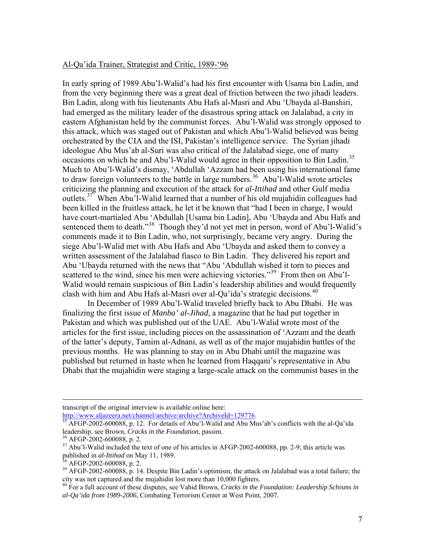## Al-Qa'ida Trainer, Strategist and Critic, 1989-'96

In early spring of 1989 Abu'l-Walid's had his first encounter with Usama bin Ladin, and from the very beginning there was a great deal of friction between the two jihadi leaders. Bin Ladin, along with his lieutenants Abu Hafs al-Masri and Abu 'Ubayda al-Banshiri, had emerged as the military leader of the disastrous spring attack on Jalalabad, a city in eastern Afghanistan held by the communist forces. Abu'l-Walid was strongly opposed to this attack, which was staged out of Pakistan and which Abu'l-Walid believed was being orchestrated by the CIA and the ISI, Pakistan's intelligence service. The Syrian jihadi ideologue Abu Mus'ab al-Suri was also critical of the Jalalabad siege, one of many occasions on which he and Abu'l-Walid would agree in their opposition to Bin Ladin.<sup>[35](#page-6-0)</sup> Much to Abu'l-Walid's dismay, 'Abdullah 'Azzam had been using his international fame to draw foreign volunteers to the battle in large numbers.<sup>[36](#page-6-1)</sup> Abu'l-Walid wrote articles criticizing the planning and execution of the attack for *al-Ittihad* and other Gulf media outlets.<sup>[37](#page-6-2)</sup> When Abu'l-Walid learned that a number of his old mujahidin colleagues had been killed in the fruitless attack, he let it be known that "had I been in charge, I would have court-martialed Abu 'Abdullah [Usama bin Ladin], Abu 'Ubayda and Abu Hafs and sentenced them to death."<sup>[38](#page-6-3)</sup> Though they'd not yet met in person, word of Abu'l-Walid's comments made it to Bin Ladin, who, not surprisingly, became very angry. During the siege Abu'l-Walid met with Abu Hafs and Abu 'Ubayda and asked them to convey a written assessment of the Jalalabad fiasco to Bin Ladin. They delivered his report and Abu 'Ubayda returned with the news that "Abu 'Abdullah wished it torn to pieces and scattered to the wind, since his men were achieving victories."<sup>[39](#page-6-4)</sup> From then on Abu'l-Walid would remain suspicious of Bin Ladin's leadership abilities and would frequently clash with him and Abu Hafs al-Masri over al-Qa'ida's strategic decisions.<sup>[40](#page-6-5)</sup>

 In December of 1989 Abu'l-Walid traveled briefly back to Abu Dhabi. He was finalizing the first issue of *Manba' al-Jihad*, a magazine that he had put together in Pakistan and which was published out of the UAE. Abu'l-Walid wrote most of the articles for the first issue, including pieces on the assassination of 'Azzam and the death of the latter's deputy, Tamim al-Adnani, as well as of the major mujahidin battles of the previous months. He was planning to stay on in Abu Dhabi until the magazine was published but returned in haste when he learned from Haqqani's representative in Abu Dhabi that the mujahidin were staging a large-scale attack on the communist bases in the

transcript of the original interview is available online here:<br>
http://www.aljazeera.net/channel/archive/archive?ArchiveId=129776.<br>  $\frac{35 \text{ A ECD}}{2002}$  2002.60000.

<span id="page-6-0"></span>http://www.aliaze.net/channel/archiveId=120776. ArchiveId=120776. [35](http://www.aljazeera.net/channel/archive/archive?ArchiveId=129776) AFGP-2002-600088, p. 12. For details of Abu'l-Walid and Abu Mus'ab's conflicts with the al-Qa'ida leadership, see Brown, *Cracks in the Foundation*, passim.<br><sup>36</sup> AFGP-2002-600088, p. 2.

<span id="page-6-2"></span><span id="page-6-1"></span><sup>&</sup>lt;sup>37</sup> Abu'l-Walid included the text of one of his articles in AFGP-2002-600088, pp. 2-9; this article was published in *al-Ittihad* on May 11, 1989. 38 AFGP-2002-600088, p. 2.

<span id="page-6-4"></span><span id="page-6-3"></span> $39$  AFGP-2002-600088, p. 14. Despite Bin Ladin's optimism, the attack on Jalalabad was a total failure; the city was not captured and the mujahidin lost more than 10,000 fighters.

<span id="page-6-5"></span><sup>40</sup> For a full account of these disputes, see Vahid Brown, *Cracks in the Foundation: Leadership Schisms in al-Qa'ida from 1989-2006*, Combating Terrorism Center at West Point, 2007.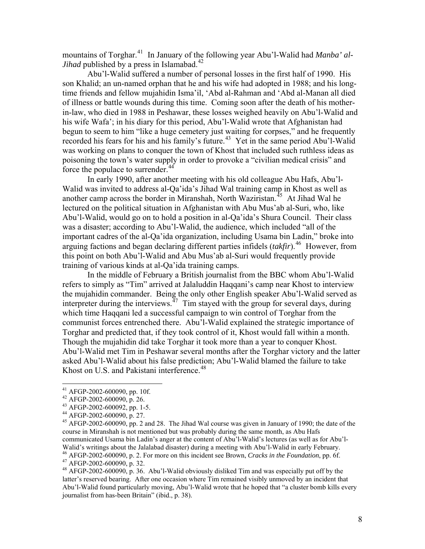mountains of Torghar.<sup>[41](#page-7-0)</sup> In January of the following year Abu'l-Walid had *Manba' al-Jihad* published by a press in Islamabad.<sup>[42](#page-7-1)</sup>

Abu'l-Walid suffered a number of personal losses in the first half of 1990. His son Khalid; an un-named orphan that he and his wife had adopted in 1988; and his longtime friends and fellow mujahidin Isma'il, 'Abd al-Rahman and 'Abd al-Manan all died of illness or battle wounds during this time. Coming soon after the death of his motherin-law, who died in 1988 in Peshawar, these losses weighed heavily on Abu'l-Walid and his wife Wafa'; in his diary for this period, Abu'l-Walid wrote that Afghanistan had begun to seem to him "like a huge cemetery just waiting for corpses," and he frequently recorded his fears for his and his family's future.<sup>[43](#page-7-2)</sup> Yet in the same period Abu'l-Walid was working on plans to conquer the town of Khost that included such ruthless ideas as poisoning the town's water supply in order to provoke a "civilian medical crisis" and force the populace to surrender.<sup>[44](#page-7-3)</sup>

In early 1990, after another meeting with his old colleague Abu Hafs, Abu'l-Walid was invited to address al-Qa'ida's Jihad Wal training camp in Khost as well as another camp across the border in Miranshah, North Waziristan.<sup>[45](#page-7-4)</sup> At Jihad Wal he lectured on the political situation in Afghanistan with Abu Mus'ab al-Suri, who, like Abu'l-Walid, would go on to hold a position in al-Qa'ida's Shura Council. Their class was a disaster; according to Abu'l-Walid, the audience, which included "all of the important cadres of the al-Qa'ida organization, including Usama bin Ladin," broke into arguing factions and began declaring different parties infidels (*takfir*).[46](#page-7-5) However, from this point on both Abu'l-Walid and Abu Mus'ab al-Suri would frequently provide training of various kinds at al-Qa'ida training camps.

In the middle of February a British journalist from the BBC whom Abu'l-Walid refers to simply as "Tim" arrived at Jalaluddin Haqqani's camp near Khost to interview the mujahidin commander. Being the only other English speaker Abu'l-Walid served as interpreter during the interviews.<sup> $47$ </sup> Tim stayed with the group for several days, during which time Haqqani led a successful campaign to win control of Torghar from the communist forces entrenched there. Abu'l-Walid explained the strategic importance of Torghar and predicted that, if they took control of it, Khost would fall within a month. Though the mujahidin did take Torghar it took more than a year to conquer Khost. Abu'l-Walid met Tim in Peshawar several months after the Torghar victory and the latter asked Abu'l-Walid about his false prediction; Abu'l-Walid blamed the failure to take Khost on U.S. and Pakistani interference.<sup>[48](#page-7-7)</sup>

<span id="page-7-0"></span><sup>41</sup> AFGP-2002-600090, pp. 10f.

<span id="page-7-1"></span><sup>42</sup> AFGP-2002-600090, p. 26.

<span id="page-7-2"></span><sup>43</sup> AFGP-2002-600092, pp. 1-5.

<span id="page-7-3"></span><sup>44</sup> AFGP-2002-600090, p. 27.

<span id="page-7-4"></span><sup>&</sup>lt;sup>45</sup> AFGP-2002-600090, pp. 2 and 28. The Jihad Wal course was given in January of 1990; the date of the course in Miranshah is not mentioned but was probably during the same month, as Abu Hafs communicated Usama bin Ladin's anger at the content of Abu'l-Walid's lectures (as well as for Abu'l-

<span id="page-7-5"></span>Walid's writings about the Jalalabad disaster) during a meeting with Abu'l-Walid in early February.<br><sup>46</sup> AFGP-2002-600090, p. 2. For more on this incident see Brown, *Cracks in the Foundation*, pp. 6f.<br><sup>47</sup> AFGP-2002-60009

<span id="page-7-7"></span><span id="page-7-6"></span><sup>&</sup>lt;sup>48</sup> AFGP-2002-600090, p. 36. Abu'l-Walid obviously disliked Tim and was especially put off by the latter's reserved bearing. After one occasion where Tim remained visibly unmoved by an incident that Abu'l-Walid found particularly moving, Abu'l-Walid wrote that he hoped that "a cluster bomb kills every journalist from has-been Britain" (ibid., p. 38).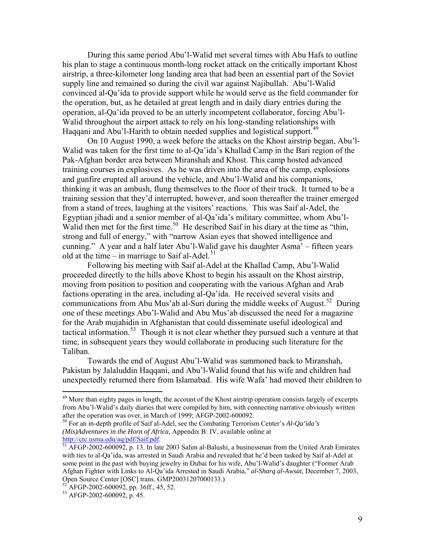During this same period Abu'l-Walid met several times with Abu Hafs to outline his plan to stage a continuous month-long rocket attack on the critically important Khost airstrip, a three-kilometer long landing area that had been an essential part of the Soviet supply line and remained so during the civil war against Najibullah. Abu'l-Walid convinced al-Qa'ida to provide support while he would serve as the field commander for the operation, but, as he detailed at great length and in daily diary entries during the operation, al-Qa'ida proved to be an utterly incompetent collaborator, forcing Abu'l-Walid throughout the airport attack to rely on his long-standing relationships with Haggani and Abu'l-Harith to obtain needed supplies and logistical support.<sup>[49](#page-8-0)</sup>

On 10 August 1990, a week before the attacks on the Khost airstrip began, Abu'l-Walid was taken for the first time to al-Qa'ida's Khallad Camp in the Bari region of the Pak-Afghan border area between Miranshah and Khost. This camp hosted advanced training courses in explosives. As he was driven into the area of the camp, explosions and gunfire erupted all around the vehicle, and Abu'l-Walid and his companions, thinking it was an ambush, flung themselves to the floor of their truck. It turned to be a training session that they'd interrupted, however, and soon thereafter the trainer emerged from a stand of trees, laughing at the visitors' reactions. This was Saif al-Adel, the Egyptian jihadi and a senior member of al-Qa'ida's military committee, whom Abu'l-Walid then met for the first time.<sup>[50](#page-8-1)</sup> He described Saif in his diary at the time as "thin, strong and full of energy," with "narrow Asian eyes that showed intelligence and cunning." A year and a half later Abu'l-Walid gave his daughter Asma' – fifteen years old at the time – in marriage to Saif al-Adel.<sup>[51](#page-8-2)</sup>

 Following his meeting with Saif al-Adel at the Khallad Camp, Abu'l-Walid proceeded directly to the hills above Khost to begin his assault on the Khost airstrip, moving from position to position and cooperating with the various Afghan and Arab factions operating in the area, including al-Qa'ida. He received several visits and communications from Abu Mus'ab al-Suri during the middle weeks of August.<sup>[52](#page-8-3)</sup> During one of these meetings Abu'l-Walid and Abu Mus'ab discussed the need for a magazine for the Arab mujahidin in Afghanistan that could disseminate useful ideological and tactical information.<sup>[53](#page-8-4)</sup> Though it is not clear whether they pursued such a venture at that time, in subsequent years they would collaborate in producing such literature for the Taliban.

Towards the end of August Abu'l-Walid was summoned back to Miranshah, Pakistan by Jalaluddin Haqqani, and Abu'l-Walid found that his wife and children had unexpectedly returned there from Islamabad. His wife Wafa' had moved their children to

<span id="page-8-0"></span><sup>&</sup>lt;sup>49</sup> More than eighty pages in length, the account of the Khost airstrip operation consists largely of excerpts from Abu'l-Walid's daily diaries that were compiled by him, with connecting narrative obviously written after the operation was over, in March of 1999; AFGP-2002-600092.

<span id="page-8-1"></span><sup>50</sup> For an in-depth profile of Saif al-Adel, see the Combating Terrorism Center's *Al-Qa'ida's (Mis)Adventures in the Horn of Africa*, Appendix B: IV, available online at

<span id="page-8-2"></span><http://ctc.usma.edu/aq/pdf/Saif.pdf>.<br><sup>[51](http://ctc.usma.edu/aq/pdf/Saif.pdf)</sup> AFGP-2002-600092, p. 13. In late 2003 Salim al-Balushi, a businessman from the United Arab Emirates with ties to al-Qa'ida, was arrested in Saudi Arabia and revealed that he'd been tasked by Saif al-Adel at some point in the past with buying jewelry in Dubai for his wife, Abu'l-Walid's daughter ("Former Arab Afghan Fighter with Links to Al-Qa'ida Arrested in Saudi Arabia," *al-Sharq al-Awsat*, December 7, 2003, Open Source Center [OSC] trans. GMP20031207000133.)

<span id="page-8-3"></span> $52$  AFGP-2002-600092, pp. 36ff., 45, 52.

<span id="page-8-4"></span><sup>53</sup> AFGP-2002-600092, p. 45.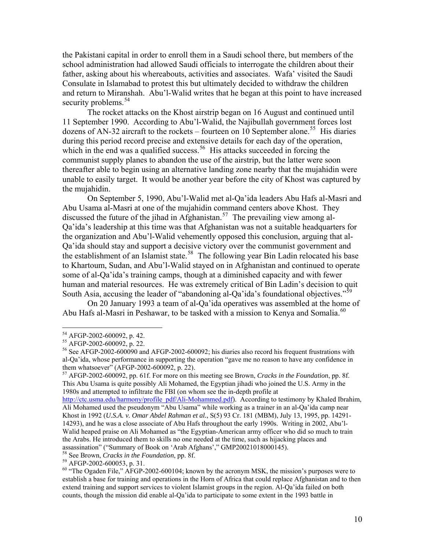the Pakistani capital in order to enroll them in a Saudi school there, but members of the school administration had allowed Saudi officials to interrogate the children about their father, asking about his whereabouts, activities and associates. Wafa' visited the Saudi Consulate in Islamabad to protest this but ultimately decided to withdraw the children and return to Miranshah. Abu'l-Walid writes that he began at this point to have increased security problems.<sup>[54](#page-9-0)</sup>

The rocket attacks on the Khost airstrip began on 16 August and continued until 11 September 1990. According to Abu'l-Walid, the Najibullah government forces lost dozens of AN-32 aircraft to the rockets – fourteen on 10 September alone.<sup>[55](#page-9-1)</sup> His diaries during this period record precise and extensive details for each day of the operation, which in the end was a qualified success.<sup>[56](#page-9-2)</sup> His attacks succeeded in forcing the communist supply planes to abandon the use of the airstrip, but the latter were soon thereafter able to begin using an alternative landing zone nearby that the mujahidin were unable to easily target. It would be another year before the city of Khost was captured by the mujahidin.

On September 5, 1990, Abu'l-Walid met al-Qa'ida leaders Abu Hafs al-Masri and Abu Usama al-Masri at one of the mujahidin command centers above Khost. They discussed the future of the jihad in Afghanistan.<sup>[57](#page-9-3)</sup> The prevailing view among al-Qa'ida's leadership at this time was that Afghanistan was not a suitable headquarters for the organization and Abu'l-Walid vehemently opposed this conclusion, arguing that al-Qa'ida should stay and support a decisive victory over the communist government and the establishment of an Islamist state.<sup>[58](#page-9-4)</sup> The following year Bin Ladin relocated his base to Khartoum, Sudan, and Abu'l-Walid stayed on in Afghanistan and continued to operate some of al-Qa'ida's training camps, though at a diminished capacity and with fewer human and material resources. He was extremely critical of Bin Ladin's decision to quit South Asia, accusing the leader of "abandoning al-Qa'ida's foundational objectives."<sup>[59](#page-9-5)</sup>

On 20 January 1993 a team of al-Qa'ida operatives was assembled at the home of Abu Hafs al-Masri in Peshawar, to be tasked with a mission to Kenya and Somalia.<sup>[60](#page-9-6)</sup>

1

 $54$  AFGP-2002-600092, p. 42.

<span id="page-9-1"></span><span id="page-9-0"></span><sup>55</sup> AFGP-2002-600092, p. 22.

<span id="page-9-2"></span> $56$  See AFGP-2002-600090 and AFGP-2002-600092; his diaries also record his frequent frustrations with al-Qa'ida, whose performance in supporting the operation "gave me no reason to have any confidence in them whatsoever" (AFGP-2002-600092, p. 22).

<span id="page-9-3"></span><sup>57</sup> AFGP-2002-600092, pp. 61f. For more on this meeting see Brown, *Cracks in the Foundation*, pp. 8f. This Abu Usama is quite possibly Ali Mohamed, the Egyptian jihadi who joined the U.S. Army in the 1980s and attempted to infiltrate the FBI (on whom see the in-depth profile at

[http://ctc.usma.edu/harmony/profile\\_pdf/Ali-Mohammed.pdf](http://ctc.usma.edu/harmony/profile_pdf/Ali-Mohammed.pdf)). According to testimony by Khaled Ibrahim, Ali Mohamed used the pseudonym "Abu Usama" while working as a trainer in an al-Qa'ida camp near Khost in 1992 (*U.S.A. v. Omar Abdel Rahman et al.*, S(5) 93 Cr. 181 (MBM), July 13, 1995, pp. 14291- 14293), and he was a close associate of Abu Hafs throughout the early 1990s. Writing in 2002, Abu'l-Walid heaped praise on Ali Mohamed as "the Egyptian-American army officer who did so much to train the Arabs. He introduced them to skills no one needed at the time, such as hijacking places and assassination" ("Summary of Book on 'Arab Afghans'," GMP20021018000145).

<span id="page-9-4"></span><sup>58</sup> See Brown, *Cracks in the Foundation*, pp. 8f. 59 AFGP-2002-600053, p. 31.

<span id="page-9-6"></span><span id="page-9-5"></span> $60$  "The Ogaden File," AFGP-2002-600104; known by the acronym MSK, the mission's purposes were to establish a base for training and operations in the Horn of Africa that could replace Afghanistan and to then extend training and support services to violent Islamist groups in the region. Al-Qa'ida failed on both counts, though the mission did enable al-Qa'ida to participate to some extent in the 1993 battle in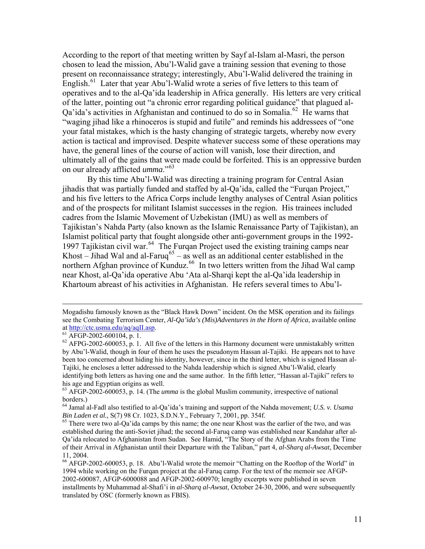According to the report of that meeting written by Sayf al-Islam al-Masri, the person chosen to lead the mission, Abu'l-Walid gave a training session that evening to those present on reconnaissance strategy; interestingly, Abu'l-Walid delivered the training in English.<sup>[61](#page-10-0)</sup> Later that year Abu'l-Walid wrote a series of five letters to this team of operatives and to the al-Qa'ida leadership in Africa generally. His letters are very critical of the latter, pointing out "a chronic error regarding political guidance" that plagued al-Qa'ida's activities in Afghanistan and continued to do so in Somalia.<sup>[62](#page-10-1)</sup> He warns that "waging jihad like a rhinoceros is stupid and futile" and reminds his addressees of "one your fatal mistakes, which is the hasty changing of strategic targets, whereby now every action is tactical and improvised. Despite whatever success some of these operations may have, the general lines of the course of action will vanish, lose their direction, and ultimately all of the gains that were made could be forfeited. This is an oppressive burden on our already afflicted *umma*."[63](#page-10-2)

 By this time Abu'l-Walid was directing a training program for Central Asian jihadis that was partially funded and staffed by al-Qa'ida, called the "Furqan Project," and his five letters to the Africa Corps include lengthy analyses of Central Asian politics and of the prospects for militant Islamist successes in the region. His trainees included cadres from the Islamic Movement of Uzbekistan (IMU) as well as members of Tajikistan's Nahda Party (also known as the Islamic Renaissance Party of Tajikistan), an Islamist political party that fought alongside other anti-government groups in the 1992- 1997 Tajikistan civil war.<sup>[64](#page-10-3)</sup> The Furqan Project used the existing training camps near Khost – Jihad Wal and al-Faruq<sup>[65](#page-10-4)</sup> – as well as an additional center established in the northern Afghan province of Kunduz.<sup>[66](#page-10-5)</sup> In two letters written from the Jihad Wal camp near Khost, al-Qa'ida operative Abu 'Ata al-Sharqi kept the al-Qa'ida leadership in Khartoum abreast of his activities in Afghanistan. He refers several times to Abu'l-

Mogadishu famously known as the "Black Hawk Down" incident. On the MSK operation and its failings see the Combating Terrorism Center, *Al-Qa'ida's (Mis)Adventures in the Horn of Africa*, available online at [http://ctc.usma.edu/aq/aqII.asp.](http://ctc.usma.edu/aq/aqII.asp) 61 AFGP-2002-600104, p. 1.

<span id="page-10-0"></span>

<span id="page-10-1"></span> $62$  AFPG-2002-600053, p. 1. All five of the letters in this Harmony document were unmistakably written by Abu'l-Walid, though in four of them he uses the pseudonym Hassan al-Tajiki. He appears not to have been too concerned about hiding his identity, however, since in the third letter, which is signed Hassan al-Tajiki, he encloses a letter addressed to the Nahda leadership which is signed Abu'l-Walid, clearly identifying both letters as having one and the same author. In the fifth letter, "Hassan al-Tajiki" refers to his age and Egyptian origins as well.

<span id="page-10-2"></span><sup>63</sup> AFGP-2002-600053, p. 14. (The *umma* is the global Muslim community, irrespective of national borders.)

<span id="page-10-3"></span><sup>64</sup> Jamal al-Fadl also testified to al-Qa'ida's training and support of the Nahda movement; *U.S. v. Usama Bin Laden et al.*, *S*(7) 98 Cr. 1023, S.D.N.Y., February 7, 2001, pp. 354f.<br><sup>65</sup> There were two al-Qa'ida camps by this name; the one near Khost was the earlier of the two, and was

<span id="page-10-4"></span>established during the anti-Soviet jihad; the second al-Faruq camp was established near Kandahar after al-Qa'ida relocated to Afghanistan from Sudan. See Hamid, "The Story of the Afghan Arabs from the Time of their Arrival in Afghanistan until their Departure with the Taliban," part 4, *al-Sharq al-Awsat*, December 11, 2004.

<span id="page-10-5"></span><sup>&</sup>lt;sup>66</sup> AFGP-2002-600053, p. 18. Abu'l-Walid wrote the memoir "Chatting on the Rooftop of the World" in 1994 while working on the Furqan project at the al-Faruq camp. For the text of the memoir see AFGP-2002-600087, AFGP-6000088 and AFGP-2002-600970; lengthy excerpts were published in seven installments by Muhammad al-Shafi'i in *al-Sharq al-Awsat*, October 24-30, 2006, and were subsequently translated by OSC (formerly known as FBIS).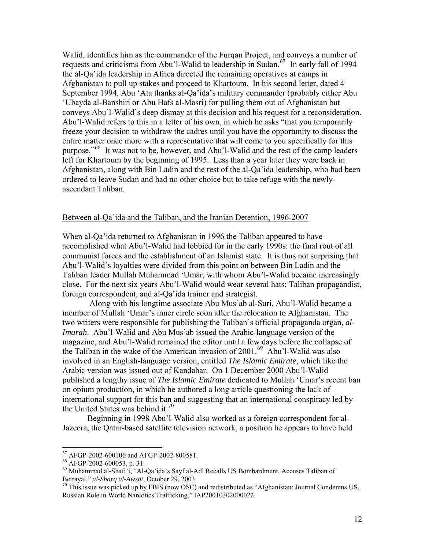Walid, identifies him as the commander of the Furqan Project, and conveys a number of requests and criticisms from Abu'l-Walid to leadership in Sudan.<sup>[67](#page-11-0)</sup> In early fall of 1994 the al-Qa'ida leadership in Africa directed the remaining operatives at camps in Afghanistan to pull up stakes and proceed to Khartoum. In his second letter, dated 4 September 1994, Abu 'Ata thanks al-Qa'ida's military commander (probably either Abu 'Ubayda al-Banshiri or Abu Hafs al-Masri) for pulling them out of Afghanistan but conveys Abu'l-Walid's deep dismay at this decision and his request for a reconsideration. Abu'l-Walid refers to this in a letter of his own, in which he asks "that you temporarily freeze your decision to withdraw the cadres until you have the opportunity to discuss the entire matter once more with a representative that will come to you specifically for this purpose."[68](#page-11-1) It was not to be, however, and Abu'l-Walid and the rest of the camp leaders left for Khartoum by the beginning of 1995. Less than a year later they were back in Afghanistan, along with Bin Ladin and the rest of the al-Qa'ida leadership, who had been ordered to leave Sudan and had no other choice but to take refuge with the newlyascendant Taliban.

## Between al-Qa'ida and the Taliban, and the Iranian Detention, 1996-2007

When al-Qa'ida returned to Afghanistan in 1996 the Taliban appeared to have accomplished what Abu'l-Walid had lobbied for in the early 1990s: the final rout of all communist forces and the establishment of an Islamist state. It is thus not surprising that Abu'l-Walid's loyalties were divided from this point on between Bin Ladin and the Taliban leader Mullah Muhammad 'Umar, with whom Abu'l-Walid became increasingly close. For the next six years Abu'l-Walid would wear several hats: Taliban propagandist, foreign correspondent, and al-Qa'ida trainer and strategist.

 Along with his longtime associate Abu Mus'ab al-Suri, Abu'l-Walid became a member of Mullah 'Umar's inner circle soon after the relocation to Afghanistan. The two writers were responsible for publishing the Taliban's official propaganda organ, *al-Imarah*. Abu'l-Walid and Abu Mus'ab issued the Arabic-language version of the magazine, and Abu'l-Walid remained the editor until a few days before the collapse of the Taliban in the wake of the American invasion of  $2001<sup>69</sup>$  $2001<sup>69</sup>$  $2001<sup>69</sup>$  Abu'l-Walid was also involved in an English-language version, entitled *The Islamic Emirate*, which like the Arabic version was issued out of Kandahar. On 1 December 2000 Abu'l-Walid published a lengthy issue of *The Islamic Emirate* dedicated to Mullah 'Umar's recent ban on opium production, in which he authored a long article questioning the lack of international support for this ban and suggesting that an international conspiracy led by the United States was behind it.<sup>[70](#page-11-3)</sup>

 Beginning in 1998 Abu'l-Walid also worked as a foreign correspondent for al-Jazeera, the Qatar-based satellite television network, a position he appears to have held

1

<sup>67</sup> AFGP-2002-600106 and AFGP-2002-800581.

<span id="page-11-0"></span><sup>68</sup> AFGP-2002-600053, p. 31.

<span id="page-11-2"></span><span id="page-11-1"></span><sup>69</sup> Muhammad al-Shafi'i, "Al-Qa'ida's Sayf al-Adl Recalls US Bombardment, Accuses Taliban of Betrayal," *al-Sharq al-Awsat*, October 29, 2003.<br><sup>70</sup> This issue was picked up by FBIS (now OSC) and redistributed as "Afghanistan: Journal Condemns US,

<span id="page-11-3"></span>Russian Role in World Narcotics Trafficking," IAP20010302000022.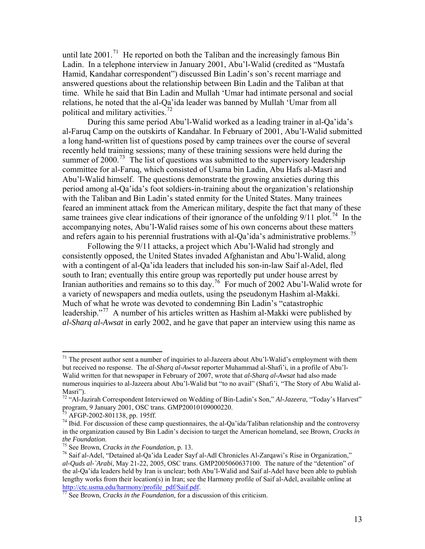until late  $2001$ .<sup>[71](#page-12-0)</sup> He reported on both the Taliban and the increasingly famous Bin Ladin. In a telephone interview in January 2001, Abu'l-Walid (credited as "Mustafa Hamid, Kandahar correspondent") discussed Bin Ladin's son's recent marriage and answered questions about the relationship between Bin Ladin and the Taliban at that time. While he said that Bin Ladin and Mullah 'Umar had intimate personal and social relations, he noted that the al-Qa'ida leader was banned by Mullah 'Umar from all political and military activities.[72](#page-12-1)

 During this same period Abu'l-Walid worked as a leading trainer in al-Qa'ida's al-Faruq Camp on the outskirts of Kandahar. In February of 2001, Abu'l-Walid submitted a long hand-written list of questions posed by camp trainees over the course of several recently held training sessions; many of these training sessions were held during the summer of 2000.<sup>[73](#page-12-2)</sup> The list of questions was submitted to the supervisory leadership committee for al-Faruq, which consisted of Usama bin Ladin, Abu Hafs al-Masri and Abu'l-Walid himself. The questions demonstrate the growing anxieties during this period among al-Qa'ida's foot soldiers-in-training about the organization's relationship with the Taliban and Bin Ladin's stated enmity for the United States. Many trainees feared an imminent attack from the American military, despite the fact that many of these same trainees give clear indications of their ignorance of the unfolding  $9/11$  plot.<sup>[74](#page-12-3)</sup> In the accompanying notes, Abu'l-Walid raises some of his own concerns about these matters and refers again to his perennial frustrations with al-Qa'ida's administrative problems.<sup>[75](#page-12-4)</sup>

Following the 9/11 attacks, a project which Abu'l-Walid had strongly and consistently opposed, the United States invaded Afghanistan and Abu'l-Walid, along with a contingent of al-Qa'ida leaders that included his son-in-law Saif al-Adel, fled south to Iran; eventually this entire group was reportedly put under house arrest by Iranian authorities and remains so to this day.[76](#page-12-5) For much of 2002 Abu'l-Walid wrote for a variety of newspapers and media outlets, using the pseudonym Hashim al-Makki. Much of what he wrote was devoted to condemning Bin Ladin's "catastrophic leadership."<sup>[77](#page-12-6)</sup> A number of his articles written as Hashim al-Makki were published by *al-Sharq al-Awsat* in early 2002, and he gave that paper an interview using this name as

<span id="page-12-0"></span> $71$  The present author sent a number of inquiries to al-Jazeera about Abu'l-Walid's employment with them but received no response. The *al-Sharq al-Awsat* reporter Muhammad al-Shafi'i, in a profile of Abu'l-Walid written for that newspaper in February of 2007, wrote that *al-Sharq al-Awsat* had also made numerous inquiries to al-Jazeera about Abu'l-Walid but "to no avail" (Shafi'i, "The Story of Abu Walid al-Masri").

<span id="page-12-1"></span><sup>72 &</sup>quot;Al-Jazirah Correspondent Interviewed on Wedding of Bin-Ladin's Son," *Al-Jazeera*, "Today's Harvest" program, 9 January 2001, OSC trans. GMP20010109000220.

 $3$  AFGP-2002-801138, pp. 195ff.

<span id="page-12-3"></span><span id="page-12-2"></span> $^{74}$  Ibid. For discussion of these camp questionnaires, the al-Qa'ida/Taliban relationship and the controversy in the organization caused by Bin Ladin's decision to target the American homeland, see Brown, *Cracks in the Foundation.*<br><sup>75</sup> See Brown, *Cracks in the Foundation*, p. 13.<br><sup>76</sup> Saif al-Adel, "Detained al-Qa'ida Leader Sayf al-Adl Chronicles Al-Zarqawi's Rise in Organization,"

<span id="page-12-5"></span><span id="page-12-4"></span>*al-Quds al-`Arabi*, May 21-22, 2005, OSC trans. GMP2005060637100. The nature of the "detention" of the al-Qa'ida leaders held by Iran is unclear; both Abu'l-Walid and Saif al-Adel have been able to publish lengthy works from their location(s) in Iran; see the Harmony profile of Saif al-Adel, available online at [http://ctc.usma.edu/harmony/profile\\_pdf/Saif.pdf.](http://ctc.usma.edu/harmony/profile_pdf/Saif.pdf) [77](http://ctc.usma.edu/harmony/profile_pdf/Saif.pdf) See Brown, *Cracks in the Foundation*, for a discussion of this criticism.

<span id="page-12-6"></span>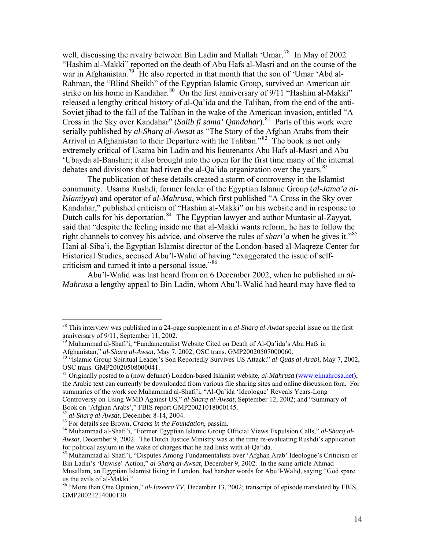well, discussing the rivalry between Bin Ladin and Mullah 'Umar.<sup>[78](#page-13-0)</sup> In May of 2002 "Hashim al-Makki" reported on the death of Abu Hafs al-Masri and on the course of the war in Afghanistan.<sup>[79](#page-13-1)</sup> He also reported in that month that the son of 'Umar 'Abd al-Rahman, the "Blind Sheikh" of the Egyptian Islamic Group, survived an American air strike on his home in Kandahar.<sup>[80](#page-13-2)</sup> On the first anniversary of 9/11 "Hashim al-Makki" released a lengthy critical history of al-Qa'ida and the Taliban, from the end of the anti-Soviet jihad to the fall of the Taliban in the wake of the American invasion, entitled "A Cross in the Sky over Kandahar" (*Salib fi sama' Qandahar*).<sup>[81](#page-13-3)</sup> Parts of this work were serially published by *al-Sharq al-Awsat* as "The Story of the Afghan Arabs from their Arrival in Afghanistan to their Departure with the Taliban.<sup>8[82](#page-13-4)</sup> The book is not only extremely critical of Usama bin Ladin and his lieutenants Abu Hafs al-Masri and Abu 'Ubayda al-Banshiri; it also brought into the open for the first time many of the internal debates and divisions that had riven the al-Qa'ida organization over the years.<sup>[83](#page-13-5)</sup>

The publication of these details created a storm of controversy in the Islamist community. Usama Rushdi, former leader of the Egyptian Islamic Group (*al-Jama'a al-Islamiyya*) and operator of *al-Mahrusa*, which first published "A Cross in the Sky over Kandahar," published criticism of "Hashim al-Makki" on his website and in response to Dutch calls for his deportation.<sup>[84](#page-13-6)</sup> The Egyptian lawyer and author Muntasir al-Zayyat, said that "despite the feeling inside me that al-Makki wants reform, he has to follow the right channels to convey his advice, and observe the rules of *shari'a* when he gives it."<sup>[85](#page-13-7)</sup> Hani al-Siba'i, the Egyptian Islamist director of the London-based al-Maqreze Center for Historical Studies, accused Abu'l-Walid of having "exaggerated the issue of self-criticism and turned it into a personal issue."<sup>[86](#page-13-8)</sup>

 Abu'l-Walid was last heard from on 6 December 2002, when he published in *al-Mahrusa* a lengthy appeal to Bin Ladin, whom Abu'l-Walid had heard may have fled to

<span id="page-13-0"></span><sup>78</sup> This interview was published in a 24-page supplement in a *al-Sharq al-Awsat* special issue on the first anniversary of 9/11, September 11, 2002.

<span id="page-13-1"></span><sup>&</sup>lt;sup>79</sup> Muhammad al-Shafi<sup>7</sup>i, "Fundamentalist Website Cited on Death of Al-Qa'ida's Abu Hafs in Afghanistan," *al-Sharq al-Awsat*, May 7, 2002, OSC trans. GMP20020507000060.

<span id="page-13-2"></span><sup>&</sup>lt;sup>80</sup> "Islamic Group Spiritual Leader's Son Reportedly Survives US Attack," *al-Quds al-Arabi*, May 7, 2002, OSC trans. GMP20020508000041.

<span id="page-13-3"></span><sup>81</sup> Originally posted to a (now defunct) London-based Islamist website, *al-Mahrusa* ([www.elmahrosa.net\)](http://www.elmahrosa.net/), the Arabic text can currently be downloaded from various file sharing sites and online discussion fora. For summaries of the work see Muhammad al-Shafi'i, "Al-Qa'ida 'Ideologue' Reveals Years-Long Controversy on Using WMD Against US," *al-Sharq al-Awsat*, September 12, 2002; and "Summary of Book on 'Afghan Arabs'," FBIS report GMP20021018000145.<br><sup>82</sup> al-Sharq al-Awsat, December 8-14, 2004.

<span id="page-13-6"></span><span id="page-13-5"></span><span id="page-13-4"></span><sup>&</sup>lt;sup>83</sup> For details see Brown, *Cracks in the Foundation*, passim.<br><sup>84</sup> Muhammad al-Shafi'i, "Former Egyptian Islamic Group Official Views Expulsion Calls," al-Sharq al-*Awsat*, December 9, 2002. The Dutch Justice Ministry was at the time re-evaluating Rushdi's application for political asylum in the wake of charges that he had links with al-Qa'ida.

<span id="page-13-7"></span><sup>85</sup> Muhammad al-Shafi'i, "Disputes Among Fundamentalists over 'Afghan Arab' Ideologue's Criticism of Bin Ladin's 'Unwise' Action," *al-Sharq al-Awsat*, December 9, 2002. In the same article Ahmad Musallam, an Egyptian Islamist living in London, had harsher words for Abu'l-Walid, saying "God spare us the evils of al-Makki."

<span id="page-13-8"></span><sup>86 &</sup>quot;More than One Opinion," *al-Jazeera TV*, December 13, 2002; transcript of episode translated by FBIS, GMP20021214000130.